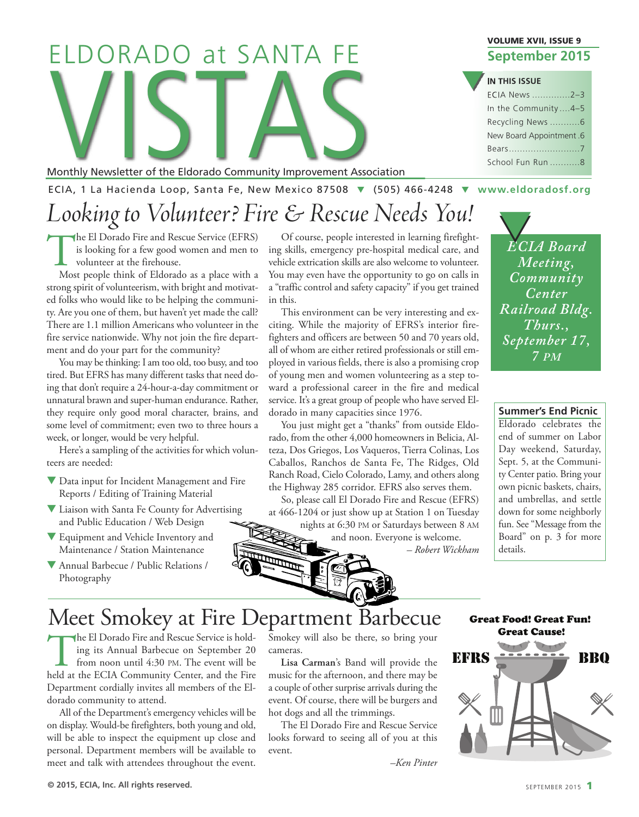# Monthly Newsletter of the Eldorado Community Improvement Asso ELDORADO at SANTA FE

Monthly Newsletter of the Eldorado Community Improvement Association

ECIA, 1 La Hacienda Loop, Santa Fe, New Mexico 87508 q (505) 466-4248 q **[www.eldoradosf.org](http://www.eldoradosf.org)**

### *Looking to Volunteer? Fire & Rescue Needs You!*

The El Dorado Fire and Rescue Service (EFRS)<br>is looking for a few good women and men to<br>volunteer at the firehouse.<br>Most people think of Eldorado as a place with a is looking for a few good women and men to volunteer at the firehouse.

Most people think of Eldorado as a place with a strong spirit of volunteerism, with bright and motivated folks who would like to be helping the community. Are you one of them, but haven't yet made the call? There are 1.1 million Americans who volunteer in the fire service nationwide. Why not join the fire department and do your part for the community?

You may be thinking: I am too old, too busy, and too tired. But EFRS has many different tasks that need doing that don't require a 24-hour-a-day commitment or unnatural brawn and super-human endurance. Rather, they require only good moral character, brains, and some level of commitment; even two to three hours a week, or longer, would be very helpful.

Here's a sampling of the activities for which volunteers are needed:

- Data input for Incident Management and Fire Reports / Editing of Training Material
- **V** Liaison with Santa Fe County for Advertising and Public Education / Web Design
- Equipment and Vehicle Inventory and Maintenance / Station Maintenance
- Annual Barbecue / Public Relations / Photography

ing skills, emergency pre-hospital medical care, and Of course, people interested in learning firefight vehicle extrication skills are also welcome to volunteer. You may even have the opportunity to go on calls in a "traffic control and safety capacity" if you get trained in this.

This environment can be very interesting and exciting. While the majority of EFRS's interior firefighters and officers are between 50 and 70 years old, all of whom are either retired professionals or still employed in various fields, there is also a promising crop of young men and women volunteering as a step toward a professional career in the fire and medical service. It's a great group of people who have served Eldorado in many capacities since 1976.

You just might get a "thanks" from outside Eldorado, from the other 4,000 homeowners in Belicia, Alteza, Dos Griegos, Los Vaqueros, Tierra Colinas, Los Caballos, Ranchos de Santa Fe, The Ridges, Old Ranch Road, Cielo Colorado, Lamy, and others along the Highway 285 corridor. EFRS also serves them.

So, please call El Dorado Fire and Rescue (EFRS) at 466-1204 or just show up at Station 1 on Tuesday

nights at 6:30 PM or Saturdays between 8 AM and noon. Everyone is welcome.

*– Robert Wickham*

#### **VOLUME XVII, ISSUE 9 September 2015**

#### **IN THIS ISSUE**

**q** 

| ECIA News 2-3           |  |
|-------------------------|--|
| In the Community4-5     |  |
| Recycling News 6        |  |
| New Board Appointment.6 |  |
|                         |  |
| School Fun Run 8        |  |

**ECIA** Board *Meeting, Community Center Railroad Bldg. Thurs., September 17, 7 PM*

**Summer's End Picnic**

Eldorado celebrates the end of summer on Labor Day weekend, Saturday, Sept. 5, at the Community Center patio. Bring your own picnic baskets, chairs, and umbrellas, and settle down for some neighborly fun. See "Message from the Board" on p. 3 for more details.

Meet Smokey at Fire Department Barbecue

The El Dorado Fire and Rescue Service is hold-<br>ing its Annual Barbecue on September 20<br>from noon until 4:30 PM. The event will be<br>held at the ECIA Community Center, and the Fire ing its Annual Barbecue on September 20 from noon until 4:30 PM. The event will be held at the ECIA Community Center, and the Fire Department cordially invites all members of the Eldorado community to attend.

All of the Department's emergency vehicles will be on display. Would-be firefighters, both young and old, will be able to inspect the equipment up close and personal. Department members will be available to meet and talk with attendees throughout the event.

Smokey will also be there, so bring your cameras.

**Lisa Carman**'s Band will provide the music for the afternoon, and there may be a couple of other surprise arrivals during the event. Of course, there will be burgers and hot dogs and all the trimmings.

The El Dorado Fire and Rescue Service looks forward to seeing all of you at this event.

*–Ken Pinter*

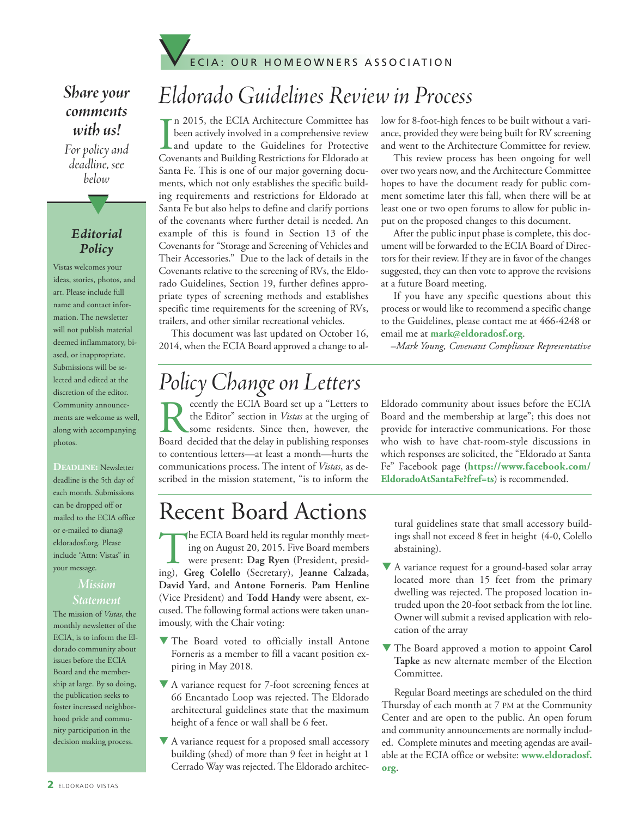

#### *Share* your *comments with us!*

For policy and *deadline, see below*

#### *Editorial Policy*

t

Vistas welcomes your ideas, stories, photos, and art. Please include full name and contact information. The newsletter will not publish material deemed inflammatory, biased, or inappropriate. Submissions will be selected and edited at the discretion of the editor. Community announcements are welcome as well, along with accompanying photos.

#### **DEADLINE:** Newsletter deadline is the 5th day of each month. Submissions can be dropped off or mailed to the ECIA office or e-mailed to diana@ eldoradosf.org. Please include "Attn: Vistas" in your message.

#### *Mission Statement*

The mission of *Vistas*, the monthly newsletter of the ECIA, is to inform the Eldorado community about issues before the ECIA Board and the membership at large. By so doing, the publication seeks to foster increased neighborhood pride and community participation in the decision making process.

### *Eldorado Guidelines Review in Process*

I n 2015, the ECIA Architecture Committee has been actively involved in a comprehensive review and update to the Guidelines for Protective Covenants and Building Restrictions for Eldorado at Santa Fe. This is one of our major governing documents, which not only establishes the specific building requirements and restrictions for Eldorado at Santa Fe but also helps to define and clarify portions of the covenants where further detail is needed. An example of this is found in Section 13 of the Covenants for "Storage and Screening of Vehicles and Their Accessories." Due to the lack of details in the Covenants relative to the screening of RVs, the Eldorado Guidelines, Section 19, further defines appropriate types of screening methods and establishes specific time requirements for the screening of RVs, trailers, and other similar recreational vehicles.

This document was last updated on October 16, 2014, when the ECIA Board approved a change to al-

low for 8-foot-high fences to be built without a variance, provided they were being built for RV screening and went to the Architecture Committee for review.

This review process has been ongoing for well over two years now, and the Architecture Committee hopes to have the document ready for public comment sometime later this fall, when there will be at least one or two open forums to allow for public input on the proposed changes to this document.

After the public input phase is complete, this document will be forwarded to the ECIA Board of Directors for their review. If they are in favor of the changes suggested, they can then vote to approve the revisions at a future Board meeting.

If you have any specific questions about this process or would like to recommend a specific change to the Guidelines, please contact me at 466-4248 or email me at **mark@eldoradosf.org**.

*–Mark Young, Covenant Compliance Representative*

### *Policy Changeon Letters*

Recently the ECIA Board set up a "Letters to<br>the Editor" section in *Vistas* at the urging of<br>some residents. Since then, however, the<br>Board decided that the delay in publishing responses the Editor" section in *Vistas* at the urging of some residents. Since then, however, the Board decided that the delay in publishing responses to contentious letters—at least a month—hurts the communications process. The intent of *Vistas*, as described in the mission statement, "is to inform the Eldorado community about issues before the ECIA Board and the membership at large"; this does not provide for interactive communications. For those who wish to have chat-room-style discussions in which responses are solicited, the "Eldorado at Santa Fe" Facebook page (**https://www.facebook.com/ EldoradoAtSantaFe?fref=ts**) is recommended.

### Recent Board Actions

The ECIA Board held its regular monthly meet-<br>ing on August 20, 2015. Five Board members<br>were present: Dag Ryen (President, presid-<br>ing). Greg Colello (Secretary). Jeanne Calzada. ing on August 20, 2015. Five Board members were present: **Dag Ryen** (President, presiding), **Greg Colello** (Secretary), **Jeanne Calzada, David Yard**, and **Antone Forneris**. **Pam Henline** (Vice President) and **Todd Handy** were absent, excused. The following formal actions were taken unanimously, with the Chair voting:

- The Board voted to officially install Antone Forneris as a member to fill a vacant position expiring in May 2018.
- $\nabla$  A variance request for 7-foot screening fences at 66 Encantado Loop was rejected. The Eldorado architectural guidelines state that the maximum height of a fence or wall shall be 6 feet.
- $\nabla$  A variance request for a proposed small accessory building (shed) of more than 9 feet in height at 1 Cerrado Way was rejected.The Eldorado architec-

tural guidelines state that small accessory buildings shall not exceed 8 feet in height (4-0, Colello abstaining).

- $\blacktriangledown$  A variance request for a ground-based solar array located more than 15 feet from the primary dwelling was rejected. The proposed location intruded upon the 20-foot setback from the lot line. Owner will submit a revised application with relocation of the array
- The Board approved a motion to appoint Carol **Tapke** as new alternate member of the Election Committee.

Regular Board meetings are scheduled on the third Thursday of each month at 7 PM at the Community Center and are open to the public. An open forum and community announcements are normally included. Complete minutes and meeting agendas are available at the ECIA office or website: **www.eldoradosf. org**.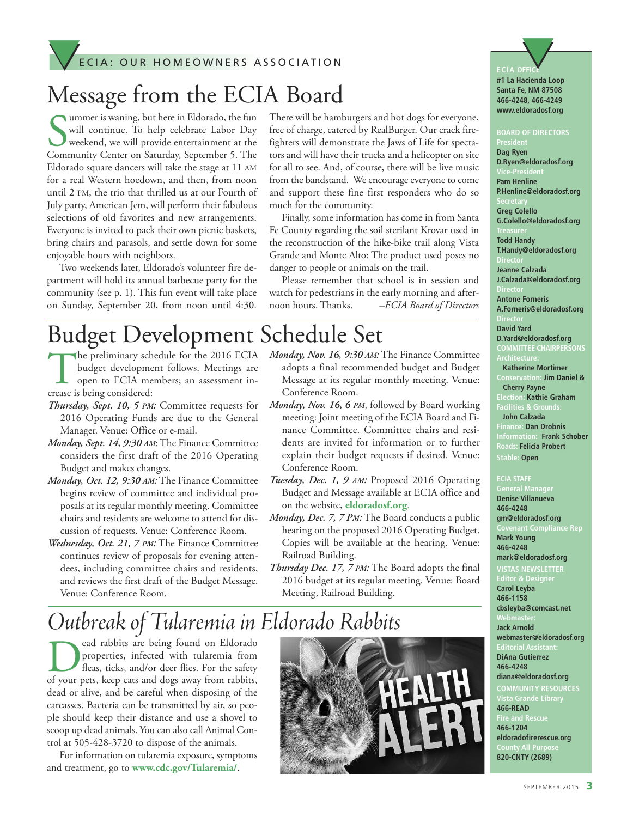### E C I A : OUR HOMEOWNERS ASSOCIATION ECIA: OUR HOMEOWNERS ASSOCIATION

### Message from the ECIA Board

Summer is waning, but here in Eldorado, the fun<br>
will continue. To help celebrate Labor Day<br>
weekend, we will provide entertainment at the<br>
Community Center on Saturday, September 5. The ummer is waning, but here in Eldorado, the fun will continue. To help celebrate Labor Day weekend, we will provide entertainment at the Eldorado square dancers will take the stage at 11 AM for a real Western hoedown, and then, from noon until 2 PM, the trio that thrilled us at our Fourth of July party, American Jem, will perform their fabulous selections of old favorites and new arrangements. Everyone is invited to pack their own picnic baskets, bring chairs and parasols, and settle down for some enjoyable hours with neighbors.

Two weekends later, Eldorado's volunteer fire department will hold its annual barbecue party for the community (see p. 1). This fun event will take place on Sunday, September 20, from noon until 4:30. There will be hamburgers and hot dogs for everyone, free of charge, catered by RealBurger. Our crack firefighters will demonstrate the Jaws of Life for spectators and will have their trucks and a helicopter on site for all to see. And, of course, there will be live music from the bandstand. We encourage everyone to come and support these fine first responders who do so much for the community.

Finally, some information has come in from Santa Fe County regarding the soil sterilant Krovar used in the reconstruction of the hike-bike trail along Vista Grande and Monte Alto: The product used poses no danger to people or animals on the trail.

Please remember that school is in session and watch for pedestrians in the early morning and afternoon hours. Thanks. *–ECIA Board of Directors*

### Budget Development Schedule Set

- The preliminary schedule for the 2016 ECIA budget development follows. Meetings are open to ECIA members; an assessment increase is being considered:
- *Thursday, Sept. 10, 5 PM:* Committee requests for 2016 Operating Funds are due to the General Manager. Venue: Office or e-mail.
- *Monday, Sept. 14, 9:30 AM*: The Finance Committee considers the first draft of the 2016 Operating Budget and makes changes.
- *Monday, Oct. 12, 9:30 AM:* The Finance Committee begins review of committee and individual proposals at its regular monthly meeting. Committee chairs and residents are welcome to attend for discussion of requests. Venue: Conference Room.
- *Wednesday, Oct. 21, 7 PM:* The Finance Committee continues review of proposals for evening attendees, including committee chairs and residents, and reviews the first draft of the Budget Message. Venue: Conference Room.
- *Monday, Nov. 16, 9:30 AM:* The Finance Committee adopts a final recommended budget and Budget Message at its regular monthly meeting. Venue: Conference Room.
- *Monday, Nov. 16, 6 PM*, followed by Board working meeting: Joint meeting of the ECIA Board and Finance Committee. Committee chairs and residents are invited for information or to further explain their budget requests if desired. Venue: Conference Room.
- *Tuesday, Dec. 1, 9 AM:* Proposed 2016 Operating Budget and Message available at ECIA office and on the website, **eldoradosf.org**.
- *Monday, Dec. 7, 7 PM:* The Board conducts a public hearing on the proposed 2016 Operating Budget. Copies will be available at the hearing. Venue: Railroad Building.
- *Thursday Dec. 17, 7 PM:* The Board adopts the final 2016 budget at its regular meeting. Venue: Board Meeting, Railroad Building.

### *Outbreakof Tularemiain Eldorado Rabbits*

ead rabbits are being found on Eldorado<br>properties, infected with tularemia from<br>fleas, ticks, and/or deer flies. For the safety<br>of your pets, keep cats and does away from rabbits. properties, infected with tularemia from fleas, ticks, and/or deer flies. For the safety of your pets, keep cats and dogs away from rabbits, dead or alive, and be careful when disposing of the carcasses. Bacteria can be transmitted by air, so people should keep their distance and use a shovel to scoop up dead animals. You can also call Animal Control at 505-428-3720 to dispose of the animals.

For information on tularemia exposure, symptoms and treatment, go to **www.cdc.gov/Tularemia/**.





**466-4248, 466-4249 www.eldoradosf.org**

#### **BOARD OF DIRECTORS**

**President Dag Ryen D.Ryen@eldoradosf.org Vice-President Pam Henline P.Henline@eldoradosf.org Greg Colello G.Colello@eldoradosf.org Treasurer Todd Handy T.Handy@eldoradosf.org Jeanne Calzada J.Calzada@eldoradosf.org Antone Forneris A.Forneris@eldoradosf.org David Yard D.Yard@eldoradosf.org COMMITTEE CHAIRPERSONS Katherine Mortimer Conservation: Jim Daniel & Cherry Payne Election: Kathie Graham Facilities & Grounds: John Calzada Finance: Dan Drobnis Information: Frank Schober Roads: Felicia Probert Stable: Open**

#### **ECIA STAFF**

**General Manager Denise Villanueva 466-4248 gm@eldoradosf.org Covenant Compliance Rep Mark Young 466-4248 mark@eldoradosf.org**

#### **VISTAS NEWSLETTER**

**Editor & Designer Carol Leyba 466-1158 cbsleyba@comcast.net Webmaster: Jack Arnold webmaster@eldoradosf.org Editorial Assistant: DiAna Gutierrez 466-4248 diana@eldoradosf.org COMMUNITY RESOURCES 466-READ Fire and Rescue 466-1204 eldoradofirerescue.org County All Purpose 820-CNTY (2689)**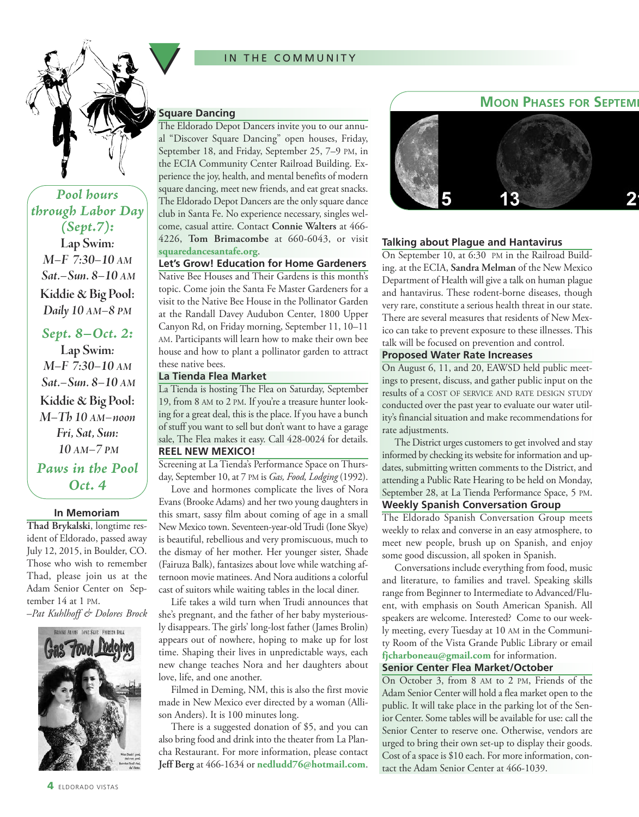#### IN THE COMMUNITY



*Pool hours through Labor Day (Sept.7):* **Lap Swim***: M–F 7:30–10 AM Sat.–Sun. 8–10 AM* **Kiddie & Big Pool:** *Daily 10 AM–8 PM*

*Sept. 8–Oct. 2:* **Lap Swim***: M–F 7:30–10 AM Sat.–Sun. 8–10 AM* **Kiddie & Big Pool:** *M–Th 10 AM–noon Fri, Sat, Sun: 10 AM–7 PM Paws in the Pool*

*Oct. 4*

#### **In Memoriam**

**Thad Brykalski**, longtime resident of Eldorado, passed away July 12, 2015, in Boulder, CO. Those who wish to remember Thad, please join us at the Adam Senior Center on September 14 at 1 PM.

–*Pat Kuhlhoff & Dolores Brock*



#### **Square Dancing**

The Eldorado Depot Dancers invite you to our annual "Discover Square Dancing" open houses, Friday, September 18, and Friday, September 25, 7–9 PM, in the ECIA Community Center Railroad Building. Experience the joy, health, and mental benefits of modern square dancing, meet new friends, and eat great snacks. The Eldorado Depot Dancers are the only square dance club in Santa Fe. No experience necessary, singles welcome, casual attire. Contact **Connie Walters** at 466- 4226, **Tom Brimacombe** at 660-6043, or visit **squaredancesantafe.org**.

**Let's Grow! Education for Home Gardeners**

Native Bee Houses and Their Gardens is this month's topic. Come join the Santa Fe Master Gardeners for a visit to the Native Bee House in the Pollinator Garden at the Randall Davey Audubon Center, 1800 Upper Canyon Rd, on Friday morning, September 11, 10–11 AM. Participants will learn how to make their own bee house and how to plant a pollinator garden to attract these native bees.

#### **La Tienda Flea Market**

La Tienda is hosting The Flea on Saturday, September 19, from 8 AM to 2 PM. If you're a treasure hunter looking for a great deal, this is the place. If you have a bunch of stuff you want to sell but don't want to have a garage sale, The Flea makes it easy. Call 428-0024 for details. **REEL NEW MEXICO!**

Screening at La Tienda's Performance Space on Thursday, September 10, at 7 PM is *Gas, Food, Lodging* (1992).

Love and hormones complicate the lives of Nora Evans (Brooke Adams) and her two young daughters in this smart, sassy film about coming of age in a small New Mexico town. Seventeen-year-oldTrudi (Ione Skye) is beautiful, rebellious and very promiscuous, much to the dismay of her mother. Her younger sister, Shade (Fairuza Balk), fantasizes about love while watching afternoon movie matinees. And Nora auditions a colorful cast of suitors while waiting tables in the local diner.

Life takes a wild turn when Trudi announces that she's pregnant, and the father of her baby mysteriously disappears. The girls' long-lost father (James Brolin) appears out of nowhere, hoping to make up for lost time. Shaping their lives in unpredictable ways, each new change teaches Nora and her daughters about love, life, and one another.

Filmed in Deming, NM, this is also the first movie made in New Mexico ever directed by a woman (Allison Anders). It is 100 minutes long.

There is a suggested donation of \$5, and you can also bring food and drink into the theater from La Plancha Restaurant. For more information, please contact **Jeff Berg** at 466-1634 or **nedludd76@hotmail.com**.



#### **Talking about Plague and Hantavirus**

On September 10, at 6:30 PM in the Railroad Building. at the ECIA, **Sandra Melman** of the New Mexico Department of Health will give a talk on human plague and hantavirus. These rodent-borne diseases, though very rare, constitute a serious health threat in our state. There are several measures that residents of New Mexico can take to prevent exposure to these illnesses. This talk will be focused on prevention and control.

#### **Proposed Water Rate Increases**

On August 6, 11, and 20, EAWSD held public meetings to present, discuss, and gather public input on the results of a COST OF SERVICE AND RATE DESIGN STUDY conducted over the past year to evaluate our water utility's financial situation and make recommendations for rate adjustments.

The District urges customers to get involved and stay informed by checking its website for information and updates, submitting written comments to the District, and attending a Public Rate Hearing to be held on Monday, September 28, at La Tienda Performance Space, 5 PM. **Weekly Spanish Conversation Group**

The Eldorado Spanish Conversation Group meets weekly to relax and converse in an easy atmosphere, to meet new people, brush up on Spanish, and enjoy some good discussion, all spoken in Spanish.

Conversations include everything from food, music and literature, to families and travel. Speaking skills range from Beginner to Intermediate to Advanced/Fluent, with emphasis on South American Spanish. All speakers are welcome. Interested? Come to our weekly meeting, every Tuesday at 10 AM in the Community Room of the Vista Grande Public Library or email **fjcharboneau@gmail.com** for information.

#### **Senior Center Flea Market/October**

On October 3, from 8 AM to 2 PM, Friends of the Adam Senior Center will hold a flea market open to the public. It will take place in the parking lot of the Senior Center. Some tables will be available for use: call the Senior Center to reserve one. Otherwise, vendors are urged to bring their own set-up to display their goods. Cost of a space is \$10 each. For more information, contact the Adam Senior Center at 466-1039.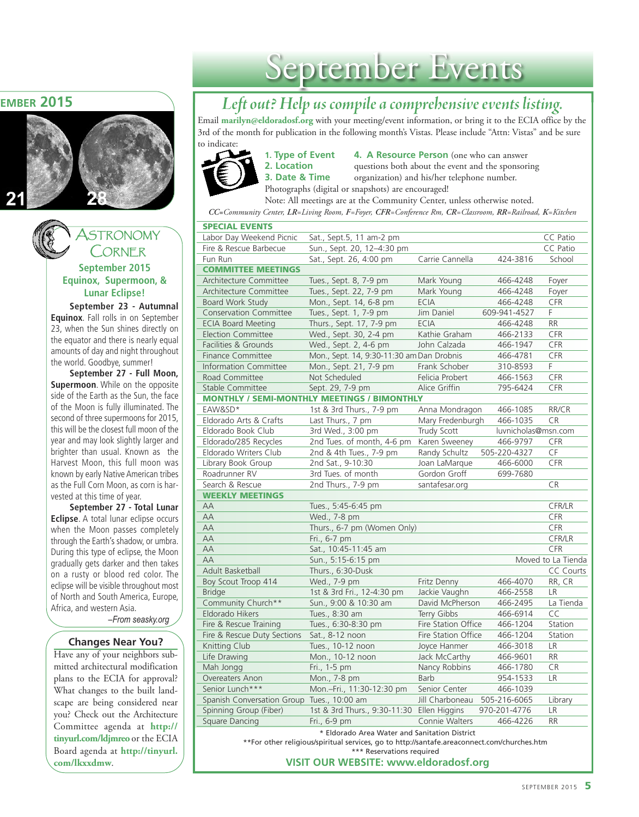#### **MOON PHASES FOR SEPTEMBER 2015**





**Equinox, Supermoon, & Lunar Eclipse!**

**September 23 - Autumnal Equinox**. Fall rolls in on September 23, when the Sun shines directly on the equator and there is nearly equal amounts of day and night throughout the world. Goodbye, summer!

**September 27 - Full Moon, Supermoon**. While on the opposite side of the Earth as the Sun, the face of the Moon is fully illuminated. The second of three supermoons for 2015, this will be the closest full moon of the year and may look slightly larger and brighter than usual. Known as the Harvest Moon, this full moon was known by early Native American tribes as the Full Corn Moon, as corn is harvested at this time of year.

**September 27 - Total Lunar Eclipse**. A total lunar eclipse occurs when the Moon passes completely through the Earth's shadow, or umbra. During this type of eclipse, the Moon gradually gets darker and then takes on a rusty or blood red color. The eclipse will be visible throughout most of North and South America, Europe, Africa, and western Asia.

*–From seasky.org*

#### **Changes Near You?**

Have any of your neighbors submitted architectural modification plans to the ECIA for approval? What changes to the built landscape are being considered near you? Check out the Architecture Committee agenda at **[http://](http://tinyurl.com/ldjmreo) [tinyurl.com/ldjmreo](http://tinyurl.com/ldjmreo)** or the ECIA Board agenda at **[http://tinyurl.](http://tinyurl.com/lkxxdmw) [com/lkxxdmw](http://tinyurl.com/lkxxdmw)**.

### September Events

#### *Leftout? Help us compileacomprehensive events listing.*

Email **marilyn@eldoradosf.org** with your meeting/event information, or bring it to the ECIA office by the 3rd of the month for publication in the following month's Vistas. Please include "Attn: Vistas" and be sure to indicate:



**1. Type of Event 4. A Resource Person** (one who can answer **2. Location questions both about the event and the sponsoring <b>3. Date & Time organization**) and his/her telephone number.  $\alpha$  **b**  $\alpha$  **z**  $\alpha$  **b**  $\alpha$  **b**  $\beta$  **b**  $\beta$  **b**  $\beta$  **c**  $\beta$  **b**  $\alpha$  **b**  $\beta$  **c**  $\beta$  **b**  $\alpha$  **b**  $\beta$  **c**  $\beta$  **c**  $\beta$  **c**  $\beta$  **c**  $\beta$  **c**  $\beta$  **c**  $\beta$  **c**  $\beta$  **c**  $\beta$  **c**  $\beta$  **c**  $\beta$  **c**  $\beta$  **c**  $\beta$  Photographs (digital or snapshots) are encouraged!

Note: All meetings are at the Community Center, unless otherwise noted.

*CC=Community Center, LR=Living Room, F=Foyer, CFR=Conference Rm, CR=Classroom, RR=Railroad, K=Kitchen*

| Labor Day Weekend Picnic                   | Sat., Sept.5, 11 am-2 pm                                   |                     |                          | CC Patio               |
|--------------------------------------------|------------------------------------------------------------|---------------------|--------------------------|------------------------|
| Fire & Rescue Barbecue                     | Sun., Sept. 20, 12-4:30 pm                                 |                     |                          | <b>CC</b> Patio        |
| Fun Run                                    | Sat., Sept. 26, 4:00 pm                                    | Carrie Cannella     | 424-3816                 | School                 |
| <b>COMMITTEE MEETINGS</b>                  |                                                            |                     |                          |                        |
| Architecture Committee                     | Tues., Sept. 8, 7-9 pm                                     | Mark Young          | 466-4248                 | Foyer                  |
| Architecture Committee                     | Tues., Sept. 22, 7-9 pm                                    | Mark Young          | 466-4248                 | Foyer                  |
| Board Work Study                           | Mon., Sept. 14, 6-8 pm                                     | <b>ECIA</b>         | 466-4248                 | CFR                    |
| <b>Conservation Committee</b>              | Tues., Sept. 1, 7-9 pm                                     | Jim Daniel          | 609-941-4527             | F                      |
| <b>ECIA Board Meeting</b>                  | Thurs., Sept. 17, 7-9 pm                                   | <b>ECIA</b>         | 466-4248                 | <b>RR</b>              |
| <b>Election Committee</b>                  | Wed., Sept. 30, 2-4 pm                                     | Kathie Graham       | 466-2133                 | CFR                    |
| Facilities & Grounds                       | Wed., Sept. 2, 4-6 pm                                      | John Calzada        | 466-1947                 | <b>CFR</b>             |
| <b>Finance Committee</b>                   | Mon., Sept. 14, 9:30-11:30 am Dan Drobnis                  |                     | 466-4781                 | CFR                    |
| <b>Information Committee</b>               | Mon., Sept. 21, 7-9 pm                                     | Frank Schober       | 310-8593                 | F                      |
| Road Committee                             | Not Scheduled                                              | Felicia Probert     | 466-1563                 | CFR                    |
| <b>Stable Committee</b>                    | Sept. 29, 7-9 pm                                           | Alice Griffin       | 795-6424                 | CFR                    |
|                                            | <b>MONTHLY / SEMI-MONTHLY MEETINGS / BIMONTHLY</b>         |                     |                          |                        |
| EAW&SD*                                    | 1st & 3rd Thurs., 7-9 pm                                   | Anna Mondragon      | 466-1085                 | RR/CR                  |
| Eldorado Arts & Crafts                     | Last Thurs., 7 pm                                          | Mary Fredenburgh    | 466-1035                 | <b>CR</b>              |
| Eldorado Book Club                         | 3rd Wed., 3:00 pm                                          | Trudy Scott         | luvnicholas@msn.com      |                        |
| Eldorado/285 Recycles                      | 2nd Tues. of month, 4-6 pm                                 | Karen Sweeney       | 466-9797                 | CFR                    |
| Eldorado Writers Club                      | 2nd & 4th Tues., 7-9 pm                                    | Randy Schultz       | 505-220-4327             | CF                     |
| Library Book Group                         | 2nd Sat., 9-10:30                                          | Joan LaMarque       | 466-6000                 | CFR                    |
| Roadrunner RV                              | 3rd Tues. of month                                         | Gordon Groff        | 699-7680                 |                        |
| Search & Rescue                            | 2nd Thurs., 7-9 pm                                         | santafesar.org      |                          | <b>CR</b>              |
| <b>WEEKLY MEETINGS</b>                     |                                                            |                     |                          |                        |
| AA                                         | Tues., 5:45-6:45 pm                                        |                     |                          | CFR/LR                 |
|                                            |                                                            |                     |                          |                        |
| AA                                         |                                                            |                     |                          |                        |
| AA                                         | Wed., 7-8 pm                                               |                     |                          | CFR<br>CFR             |
|                                            | Thurs., 6-7 pm (Women Only)                                |                     |                          |                        |
| AA<br>AA                                   | Fri., 6-7 pm                                               |                     |                          | CFR/LR                 |
|                                            | Sat., 10:45-11:45 am                                       |                     |                          | CFR                    |
| AA                                         | Sun., 5:15-6:15 pm                                         |                     |                          | Moved to La Tienda     |
| Adult Basketball                           | Thurs., 6:30-Dusk                                          |                     |                          | <b>CC Courts</b>       |
| Boy Scout Troop 414                        | Wed., 7-9 pm                                               | Fritz Denny         | 466-4070                 | RR, CR                 |
| <b>Bridge</b>                              | 1st & 3rd Fri., 12-4:30 pm                                 | Jackie Vaughn       | 466-2558                 | <b>LR</b>              |
| Community Church**                         | Sun., 9:00 & 10:30 am                                      | David McPherson     | 466-2495                 | La Tienda              |
| Eldorado Hikers                            | Tues., 8:30 am                                             | Terry Gibbs         | 466-6914                 | CC                     |
| Fire & Rescue Training                     | Tues., 6:30-8:30 pm                                        | Fire Station Office | 466-1204                 | Station                |
| Fire & Rescue Duty Sections                | Sat., 8-12 noon                                            | Fire Station Office | 466-1204                 | Station                |
| <b>Knitting Club</b>                       | Tues., 10-12 noon                                          | Joyce Hanmer        | 466-3018                 | LR                     |
| Life Drawing                               | Mon., 10-12 noon                                           | Jack McCarthy       | 466-9601                 | <b>RR</b>              |
| Mah Jongg                                  | Fri., 1-5 pm                                               | Nancy Robbins       | 466-1780                 | CR                     |
| Overeaters Anon                            | Mon., 7-8 pm                                               | Barb                | 954-1533                 | LR                     |
| Senior Lunch***                            | Mon.-Fri., 11:30-12:30 pm                                  | Senior Center       | 466-1039                 |                        |
| Spanish Conversation Group Tues., 10:00 am |                                                            | Jill Charboneau     | 505-216-6065             | Library                |
| Spinning Group (Fiber)<br>Square Dancing   | 1st & 3rd Thurs., 9:30-11:30 Ellen Higgins<br>Fri., 6-9 pm | Connie Walters      | 970-201-4776<br>466-4226 | <b>LR</b><br><b>RR</b> |

\* Eldorado Area Water and Sanitation District

\*\*For other religious/spiritual services, go to http://santafe.areaconnect.com/churches.htm \*\*\* Reservations required

**VISIT OUR WEBSITE: [www.eldoradosf.org](http://www.eldoradosf.org)**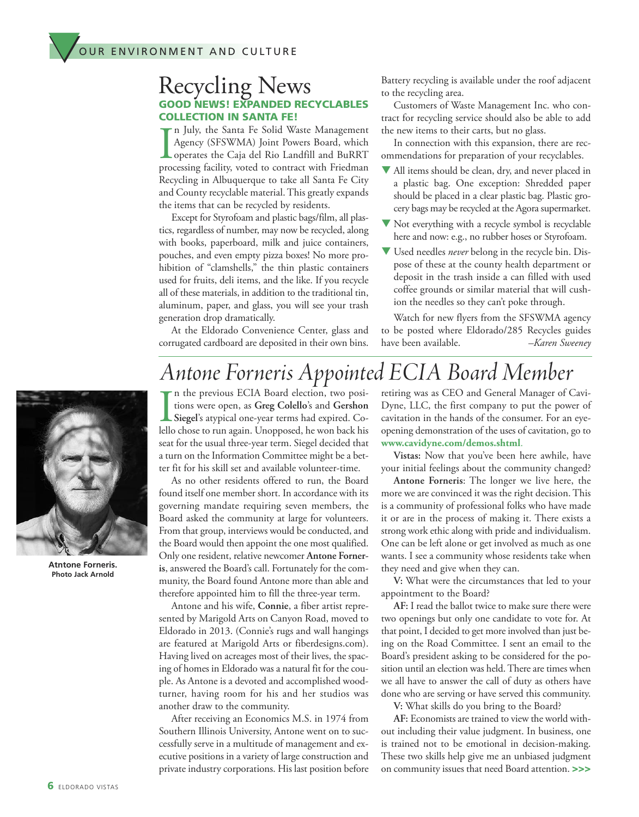#### **GOOD NEWS! EXPANDED RECYCLABLES COLLECTION IN SANTA FE!** Recycling News

I n July, the Santa Fe Solid Waste Management Agency (SFSWMA) Joint Powers Board, which operates the Caja del Rio Landfill and BuRRT processing facility, voted to contract with Friedman Recycling in Albuquerque to take all Santa Fe City and County recyclable material. This greatly expands the items that can be recycled by residents.

Except for Styrofoam and plastic bags/film, all plastics, regardless of number, may now be recycled, along with books, paperboard, milk and juice containers, pouches, and even empty pizza boxes! No more prohibition of "clamshells," the thin plastic containers used for fruits, deli items, and the like. If you recycle all of these materials, in addition to the traditional tin, aluminum, paper, and glass, you will see your trash generation drop dramatically.

At the Eldorado Convenience Center, glass and corrugated cardboard are deposited in their own bins. Battery recycling is available under the roof adjacent to the recycling area.

Customers of Waste Management Inc. who contract for recycling service should also be able to add the new items to their carts, but no glass.

In connection with this expansion, there are recommendations for preparation of your recyclables.

- $\blacktriangledown$  All items should be clean, dry, and never placed in a plastic bag. One exception: Shredded paper should be placed in a clear plastic bag. Plastic grocery bags may be recycled at the Agora supermarket.
- $\blacktriangledown$  Not everything with a recycle symbol is recyclable here and now: e.g., no rubber hoses or Styrofoam.
- **V** Used needles *never* belong in the recycle bin. Dispose of these at the county health department or deposit in the trash inside a can filled with used coffee grounds or similar material that will cushion the needles so they can't poke through.

Watch for new flyers from the SFSWMA agency to be posted where Eldorado/285 Recycles guides have been available. *–Karen Sweeney*



**Atntone Forneris. Photo Jack Arnold**

**I** n the previous ECIA Board election, two positions were open, as **Greg Colello**'s and **Gershon Siegel**'s atypical one-year terms had expired. Co-*Antone Forneris Appointed ECIA Board Member*

lello chose to run again. Unopposed, he won back his seat for the usual three-year term. Siegel decided that a turn on the Information Committee might be a better fit for his skill set and available volunteer-time.

As no other residents offered to run, the Board found itself one member short. In accordance with its governing mandate requiring seven members, the Board asked the community at large for volunteers. From that group, interviews would be conducted, and the Board would then appoint the one most qualified. Only one resident, relative newcomer **Antone Forneris**, answered the Board's call. Fortunately for the community, the Board found Antone more than able and therefore appointed him to fill the three-year term.

Antone and his wife, **Connie**, a fiber artist represented by Marigold Arts on Canyon Road, moved to Eldorado in 2013. (Connie's rugs and wall hangings are featured at Marigold Arts or fiberdesigns.com). Having lived on acreages most of their lives, the spacing of homes in Eldorado was a natural fit for the couple. As Antone is a devoted and accomplished woodturner, having room for his and her studios was another draw to the community.

After receiving an Economics M.S. in 1974 from Southern Illinois University, Antone went on to successfully serve in a multitude of management and executive positions in a variety of large construction and private industry corporations. His last position before retiring was as CEO and General Manager of Cavi-Dyne, LLC, the first company to put the power of cavitation in the hands of the consumer. For an eyeopening demonstration of the uses of cavitation, go to **www.cavidyne.com/demos.shtml**.

**Vistas:** Now that you've been here awhile, have your initial feelings about the community changed?

**Antone Forneris**: The longer we live here, the more we are convinced it was the right decision. This is a community of professional folks who have made it or are in the process of making it. There exists a strong work ethic along with pride and individualism. One can be left alone or get involved as much as one wants. I see a community whose residents take when they need and give when they can.

**V:** What were the circumstances that led to your appointment to the Board?

**AF:** I read the ballot twice to make sure there were two openings but only one candidate to vote for. At that point, I decided to get more involved than just being on the Road Committee. I sent an email to the Board's president asking to be considered for the position until an election was held. There are times when we all have to answer the call of duty as others have done who are serving or have served this community.

**V:** What skills do you bring to the Board?

AF: Economists are trained to view the world without including their value judgment. In business, one is trained not to be emotional in decision-making. These two skills help give me an unbiased judgment on community issues that need Board attention. **>>>**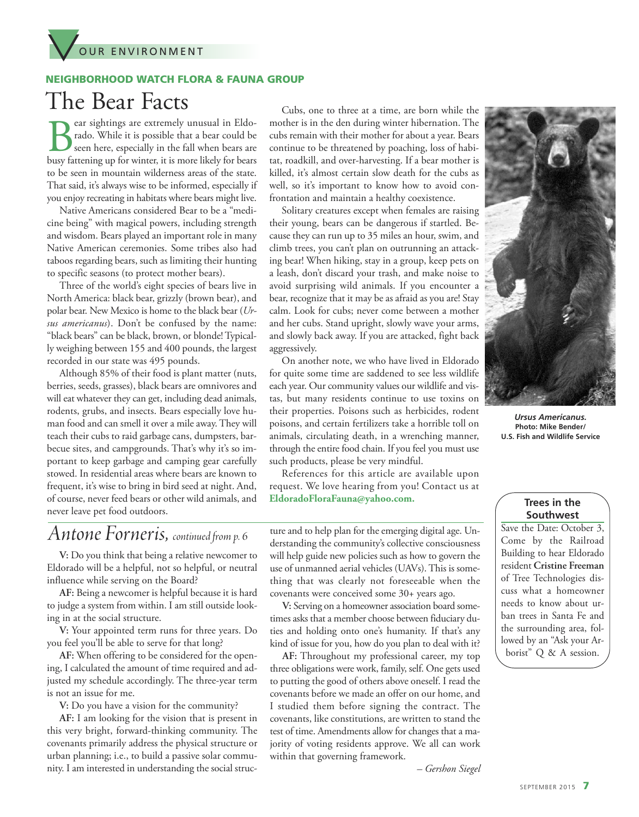

#### **NEIGHBORHOOD WATCH FLORA & FAUNA GROUP**

### The Bear Facts

Bear sightings are extremely unusual in Eldo-<br>rado. While it is possible that a bear could be<br>seen here, especially in the fall when bears are<br>busy fattening un for winter, it is more likely for bears rado. While it is possible that a bear could be seen here, especially in the fall when bears are busy fattening up for winter, it is more likely for bears to be seen in mountain wilderness areas of the state. That said, it's always wise to be informed, especially if you enjoy recreating in habitats where bears might live.

Native Americans considered Bear to be a "medicine being" with magical powers, including strength and wisdom. Bears played an important role in many Native American ceremonies. Some tribes also had taboos regarding bears, such as limiting their hunting to specific seasons (to protect mother bears).

Three of the world's eight species of bears live in North America: black bear, grizzly (brown bear), and polar bear. New Mexico is home to the black bear (Ur*sus americanus*). Don't be confused by the name: "black bears" can be black, brown, or blonde!Typically weighing between 155 and 400 pounds, the largest recorded in our state was 495 pounds.

Although 85% of their food is plant matter (nuts, berries, seeds, grasses), black bears are omnivores and will eat whatever they can get, including dead animals, rodents, grubs, and insects. Bears especially love human food and can smell it over a mile away.They will teach their cubs to raid garbage cans, dumpsters, barbecue sites, and campgrounds. That's why it's so important to keep garbage and camping gear carefully stowed. In residential areas where bears are known to frequent, it's wise to bring in bird seed at night. And, of course, never feed bears or other wild animals, and never leave pet food outdoors.

### *Antone Forneris, continuedfrom p. <sup>6</sup>*

**V:** Do you think that being a relative newcomer to Eldorado will be a helpful, not so helpful, or neutral influence while serving on the Board?

**AF:** Being a newcomer is helpful because it is hard to judge a system from within. I am still outside looking in at the social structure.

**V:** Your appointed term runs for three years. Do you feel you'll be able to serve for that long?

**AF:** When offering to be considered for the opening, I calculated the amount of time required and adjusted my schedule accordingly. The three-year term is not an issue for me.

**V:** Do you have a vision for the community?

**AF:** I am looking for the vision that is present in this very bright, forward-thinking community. The covenants primarily address the physical structure or urban planning; i.e., to build a passive solar community. I am interested in understanding the social struc-

Cubs, one to three at a time, are born while the mother is in the den during winter hibernation. The cubs remain with their mother for about a year. Bears continue to be threatened by poaching, loss of habitat, roadkill, and over-harvesting. If a bear mother is killed, it's almost certain slow death for the cubs as well, so it's important to know how to avoid confrontation and maintain a healthy coexistence.

Solitary creatures except when females are raising their young, bears can be dangerous if startled. Because they can run up to 35 miles an hour, swim, and climb trees, you can't plan on outrunning an attacking bear! When hiking, stay in a group, keep pets on a leash, don't discard your trash, and make noise to avoid surprising wild animals. If you encounter a bear, recognize that it may be as afraid as you are! Stay calm. Look for cubs; never come between a mother and her cubs. Stand upright, slowly wave your arms, and slowly back away. If you are attacked, fight back aggressively.

On another note, we who have lived in Eldorado for quite some time are saddened to see less wildlife each year. Our community values our wildlife and vistas, but many residents continue to use toxins on their properties. Poisons such as herbicides, rodent poisons, and certain fertilizers take a horrible toll on animals, circulating death, in a wrenching manner, through the entire food chain. If you feel you must use such products, please be very mindful.

References for this article are available upon request. We love hearing from you! Contact us at **EldoradoFloraFauna@yahoo.com.**

ture and to help plan for the emerging digital age. Understanding the community's collective consciousness will help guide new policies such as how to govern the use of unmanned aerial vehicles (UAVs).This is something that was clearly not foreseeable when the covenants were conceived some 30+ years ago.

**V:** Serving on a homeowner association board sometimes asks that a member choose between fiduciary duties and holding onto one's humanity. If that's any kind of issue for you, how do you plan to deal with it? **AF:** Throughout my professional career, my top three obligations were work, family, self. One gets used to putting the good of others above oneself. I read the covenants before we made an offer on our home, and I studied them before signing the contract. The covenants, like constitutions, are written to stand the test of time. Amendments allow for changes that a majority of voting residents approve. We all can work

within that governing framework.



*Ursus Americanus.* **Photo: Mike Bender/ U.S. Fish and Wildlife Service**

#### **Trees in the Southwest**

Save the Date: October 3, Come by the Railroad Building to hear Eldorado resident **Cristine Freeman** of Tree Technologies discuss what a homeowner needs to know about urban trees in Santa Fe and the surrounding area, followed by an "Ask your Arborist" Q & A session.

*– Gershon Siegel*